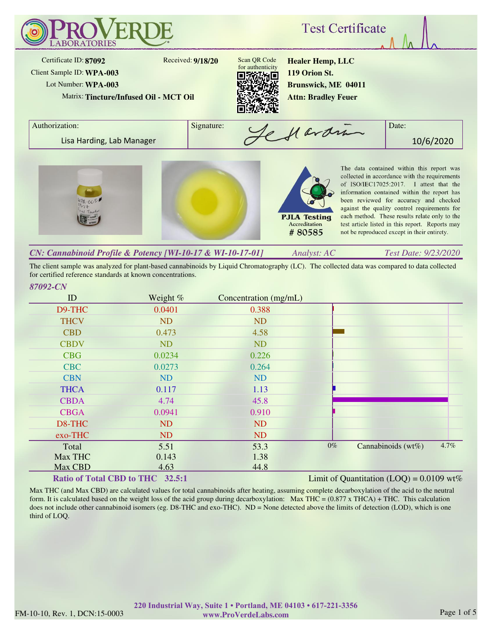

*Analyst: AC Test Date: 9/23/2020 CN: Cannabinoid Profile & Potency [WI-10-17 & WI-10-17-01]*

The client sample was analyzed for plant-based cannabinoids by Liquid Chromatography (LC). The collected data was compared to data collected for certified reference standards at known concentrations.

| ID          | Weight $%$                                                                                                                                           | Concentration (mg/mL) |       |                                               |      |
|-------------|------------------------------------------------------------------------------------------------------------------------------------------------------|-----------------------|-------|-----------------------------------------------|------|
| D9-THC      | 0.0401                                                                                                                                               | 0.388                 |       |                                               |      |
| <b>THCV</b> | <b>ND</b>                                                                                                                                            | <b>ND</b>             |       |                                               |      |
| <b>CBD</b>  | 0.473                                                                                                                                                | 4.58                  |       |                                               |      |
| <b>CBDV</b> | <b>ND</b>                                                                                                                                            | <b>ND</b>             |       |                                               |      |
| <b>CBG</b>  | 0.0234                                                                                                                                               | 0.226                 |       |                                               |      |
| <b>CBC</b>  | 0.0273                                                                                                                                               | 0.264                 |       |                                               |      |
| <b>CBN</b>  | <b>ND</b>                                                                                                                                            | <b>ND</b>             |       |                                               |      |
| <b>THCA</b> | 0.117                                                                                                                                                | 1.13                  |       |                                               |      |
| <b>CBDA</b> | 4.74                                                                                                                                                 | 45.8                  |       |                                               |      |
| <b>CBGA</b> | 0.0941                                                                                                                                               | 0.910                 |       |                                               |      |
| D8-THC      | ND                                                                                                                                                   | <b>ND</b>             |       |                                               |      |
| exo-THC     | <b>ND</b>                                                                                                                                            | <b>ND</b>             |       |                                               |      |
| Total       | 5.51                                                                                                                                                 | 53.3                  | $0\%$ | Cannabinoids $(wt\%)$                         | 4.7% |
| Max THC     | 0.143                                                                                                                                                | 1.38                  |       |                                               |      |
| Max CBD     | 4.63                                                                                                                                                 | 44.8                  |       |                                               |      |
|             | $\mathbf{D}_{\alpha}$ $\mathbf{A}_{\alpha}^{*}$ of $\mathbf{D}_{\alpha}$ and $\mathbf{C}$ DD $\mathbf{A}_{\alpha}$ THIC $\alpha$ 20 $\mathbf{E}$ , 1 |                       |       | I imit of Oventitation $(1.00) - 0.0100$ will |      |

## **Ratio of Total CBD to THC 32.5:1**

Limit of Quantitation  $(LOQ) = 0.0109$  wt%

Max THC (and Max CBD) are calculated values for total cannabinoids after heating, assuming complete decarboxylation of the acid to the neutral form. It is calculated based on the weight loss of the acid group during decarboxylation: Max THC =  $(0.877 \times THCA) + THC$ . This calculation does not include other cannabinoid isomers (eg. D8-THC and exo-THC). ND = None detected above the limits of detection (LOD), which is one third of LOQ.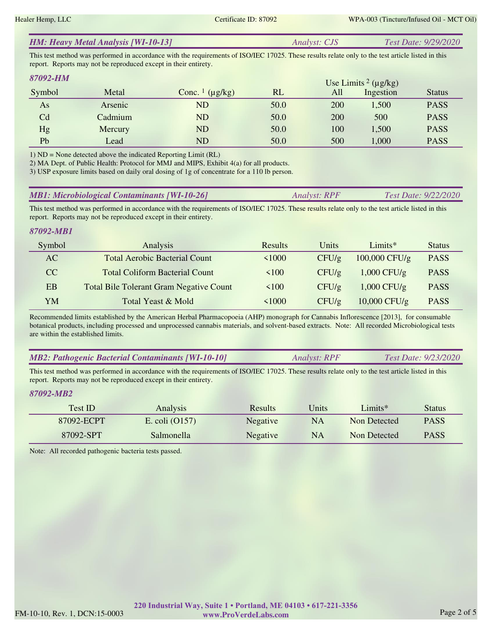| <b>HM: Heavy Metal Analysis [WI-10-13]</b> | <i>Analyst: CJS</i> | <i>Test Date: 9/29/2020</i> |
|--------------------------------------------|---------------------|-----------------------------|
|--------------------------------------------|---------------------|-----------------------------|

This test method was performed in accordance with the requirements of ISO/IEC 17025. These results relate only to the test article listed in this report. Reports may not be reproduced except in their entirety.

| 87092-HM       |         |                                     |      |     | Use Limits <sup>2</sup> ( $\mu$ g/kg) |               |
|----------------|---------|-------------------------------------|------|-----|---------------------------------------|---------------|
| Symbol         | Metal   | Conc. $\frac{1}{\mu}$ ( $\mu$ g/kg) | RL   | All | Ingestion                             | <b>Status</b> |
| As             | Arsenic | <b>ND</b>                           | 50.0 | 200 | 1,500                                 | <b>PASS</b>   |
| C <sub>d</sub> | Cadmium | <b>ND</b>                           | 50.0 | 200 | 500                                   | <b>PASS</b>   |
| Hg             | Mercury | N <sub>D</sub>                      | 50.0 | 100 | 1,500                                 | <b>PASS</b>   |
| Pb             | Lead    | ${\rm ND}$                          | 50.0 | 500 | 1,000                                 | <b>PASS</b>   |

1) ND = None detected above the indicated Reporting Limit (RL)

2) MA Dept. of Public Health: Protocol for MMJ and MIPS, Exhibit 4(a) for all products.

3) USP exposure limits based on daily oral dosing of 1g of concentrate for a 110 lb person.

| <b>MB1: Microbiological Contaminants [WI-10-26]</b> | <i><b>Analyst: RPF</b></i> | <i>Test Date: 9/22/2020</i> |
|-----------------------------------------------------|----------------------------|-----------------------------|
|-----------------------------------------------------|----------------------------|-----------------------------|

This test method was performed in accordance with the requirements of ISO/IEC 17025. These results relate only to the test article listed in this report. Reports may not be reproduced except in their entirety.

## *87092-MB1*

| Symbol | Analysis                                       | <b>Results</b>  | Units    | $Limits*$      | <b>Status</b> |
|--------|------------------------------------------------|-----------------|----------|----------------|---------------|
| AC     | <b>Total Aerobic Bacterial Count</b>           | $1000 \text{ }$ | CFU/g    | 100,000 CFU/g  | <b>PASS</b>   |
| CC.    | <b>Total Coliform Bacterial Count</b>          | $100^{\circ}$   | $CFU/\g$ | $1,000$ CFU/g  | <b>PASS</b>   |
| EB     | <b>Total Bile Tolerant Gram Negative Count</b> | $100^{\circ}$   | CFU/g    | $1,000$ CFU/g  | <b>PASS</b>   |
| YM     | Total Yeast & Mold                             | < 1000          | CFU/g    | $10,000$ CFU/g | <b>PASS</b>   |

Recommended limits established by the American Herbal Pharmacopoeia (AHP) monograph for Cannabis Inflorescence [2013], for consumable botanical products, including processed and unprocessed cannabis materials, and solvent-based extracts. Note: All recorded Microbiological tests are within the established limits.

| <b>MB2: Pathogenic Bacterial Contaminants [WI-10-10]</b> | Analyst: RPF | <i>Test Date: 9/23/2020</i> |
|----------------------------------------------------------|--------------|-----------------------------|
|----------------------------------------------------------|--------------|-----------------------------|

This test method was performed in accordance with the requirements of ISO/IEC 17025. These results relate only to the test article listed in this report. Reports may not be reproduced except in their entirety.

## *87092-MB2*

| Test ID    | Analysis         | <b>Results</b>  | Units     | $Limits*$    | <b>Status</b> |
|------------|------------------|-----------------|-----------|--------------|---------------|
| 87092-ECPT | E. coli $(0157)$ | <b>Negative</b> | NA        | Non Detected | <b>PASS</b>   |
| 87092-SPT  | Salmonella       | <b>Negative</b> | <b>NA</b> | Non Detected | <b>PASS</b>   |

Note: All recorded pathogenic bacteria tests passed.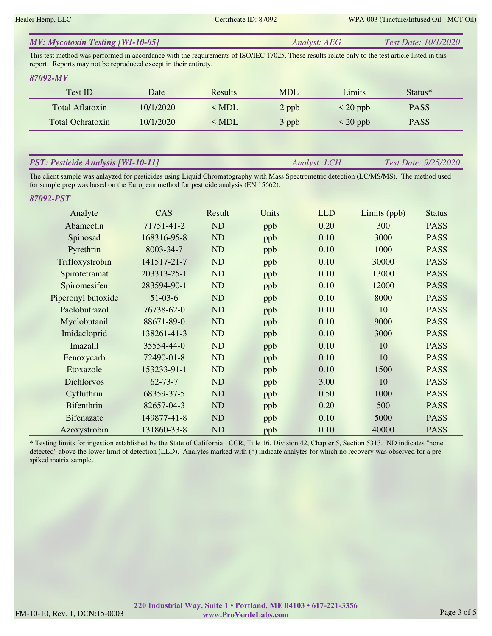| <b>MY: Mycotoxin Testing [WI-10-05]</b> | Analyst: AEG | <i>Test Date: 10/1/2020</i> |
|-----------------------------------------|--------------|-----------------------------|
|-----------------------------------------|--------------|-----------------------------|

This test method was performed in accordance with the requirements of ISO/IEC 17025. These results relate only to the test article listed in this report. Reports may not be reproduced except in their entirety.

#### *87092-MY*

| Test ID                 | Date      | <b>Results</b> | <b>MDL</b> | Limits        | Status <sup>*</sup> |  |
|-------------------------|-----------|----------------|------------|---------------|---------------------|--|
| Total Aflatoxin         | 10/1/2020 | < MDL          | 2 ppb      | $\leq$ 20 ppb | <b>PASS</b>         |  |
| <b>Total Ochratoxin</b> | 10/1/2020 | < MDL          | 3 ppb      | $\leq$ 20 ppb | <b>PASS</b>         |  |

## *PST: Pesticide Analysis [WI-10-11]*

*Analyst: LCH Test Date: 9/25/2020*

The client sample was anlayzed for pesticides using Liquid Chromatography with Mass Spectrometric detection (LC/MS/MS). The method used for sample prep was based on the European method for pesticide analysis (EN 15662).

#### *87092-PST*

| Analyte            | CAS           | Result | Units | <b>LLD</b> | Limits (ppb) | <b>Status</b> |
|--------------------|---------------|--------|-------|------------|--------------|---------------|
| Abamectin          | 71751-41-2    | ND     | ppb   | 0.20       | 300          | <b>PASS</b>   |
| Spinosad           | 168316-95-8   | ND     | ppb   | 0.10       | 3000         | <b>PASS</b>   |
| Pyrethrin          | 8003-34-7     | ND     | ppb   | 0.10       | 1000         | <b>PASS</b>   |
| Trifloxystrobin    | 141517-21-7   | ND     | ppb   | 0.10       | 30000        | <b>PASS</b>   |
| Spirotetramat      | 203313-25-1   | ND     | ppb   | 0.10       | 13000        | <b>PASS</b>   |
| Spiromesifen       | 283594-90-1   | ND     | ppb   | 0.10       | 12000        | <b>PASS</b>   |
| Piperonyl butoxide | $51-03-6$     | ND     | ppb   | 0.10       | 8000         | <b>PASS</b>   |
| Paclobutrazol      | 76738-62-0    | ND     | ppb   | 0.10       | 10           | <b>PASS</b>   |
| Myclobutanil       | 88671-89-0    | ND     | ppb   | 0.10       | 9000         | <b>PASS</b>   |
| Imidacloprid       | 138261-41-3   | ND     | ppb   | 0.10       | 3000         | <b>PASS</b>   |
| Imazalil           | 35554-44-0    | ND     | ppb   | 0.10       | 10           | <b>PASS</b>   |
| Fenoxycarb         | 72490-01-8    | ND     | ppb   | 0.10       | 10           | <b>PASS</b>   |
| Etoxazole          | 153233-91-1   | ND     | ppb   | 0.10       | 1500         | <b>PASS</b>   |
| <b>Dichlorvos</b>  | $62 - 73 - 7$ | ND     | ppb   | 3.00       | 10           | <b>PASS</b>   |
| Cyfluthrin         | 68359-37-5    | ND     | ppb   | 0.50       | 1000         | <b>PASS</b>   |
| <b>Bifenthrin</b>  | 82657-04-3    | ND     | ppb   | 0.20       | 500          | <b>PASS</b>   |
| <b>Bifenazate</b>  | 149877-41-8   | ND     | ppb   | 0.10       | 5000         | <b>PASS</b>   |
| Azoxystrobin       | 131860-33-8   | ND     | ppb   | 0.10       | 40000        | <b>PASS</b>   |

\* Testing limits for ingestion established by the State of California: CCR, Title 16, Division 42, Chapter 5, Section 5313. ND indicates "none detected" above the lower limit of detection (LLD). Analytes marked with (\*) indicate analytes for which no recovery was observed for a prespiked matrix sample.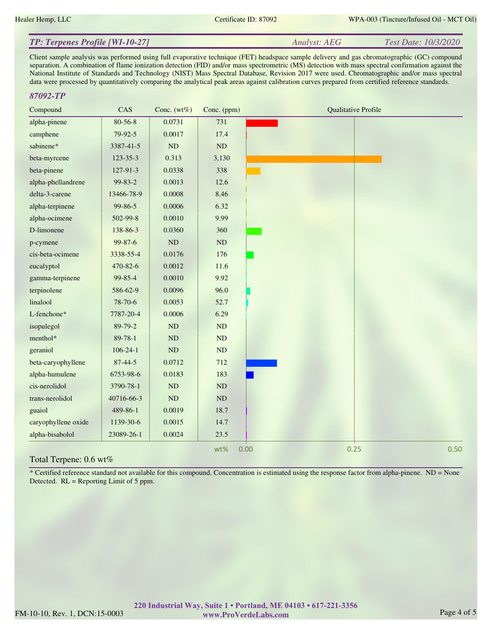*Analyst: AEG Test Date: 10/3/2020*

## *TP: Terpenes Profile [WI-10-27]*

Client sample analysis was performed using full evaporative technique (FET) headspace sample delivery and gas chromatographic (GC) compound separation. A combination of flame ionization detection (FID) and/or mass spectrometric (MS) detection with mass spectral confirmation against the National Institute of Standards and Technology (NIST) Mass Spectral Database, Revision 2017 were used. Chromatographic and/or mass spectral data were processed by quantitatively comparing the analytical peak areas against calibration curves prepared from certified reference standards.

## *87092-TP*

| Compound               | CAS            | Conc. $(wt\%)$ | Conc. (ppm)   | <b>Qualitative Profile</b> |
|------------------------|----------------|----------------|---------------|----------------------------|
| alpha-pinene           | $80 - 56 - 8$  | 0.0731         | 731           |                            |
| camphene               | $79-92-5$      | 0.0017         | 17.4          |                            |
| sabinene*              | 3387-41-5      | ND             | $\rm ND$      |                            |
| beta-myrcene           | $123 - 35 - 3$ | 0.313          | 3,130         |                            |
| beta-pinene            | 127-91-3       | 0.0338         | 338           |                            |
| alpha-phellandrene     | 99-83-2        | 0.0013         | 12.6          |                            |
| delta-3-carene         | 13466-78-9     | 0.0008         | 8.46          |                            |
| alpha-terpinene        | 99-86-5        | 0.0006         | 6.32          |                            |
| alpha-ocimene          | 502-99-8       | 0.0010         | 9.99          |                            |
| D-limonene             | 138-86-3       | 0.0360         | 360           |                            |
| p-cymene               | 99-87-6        | $\rm ND$       | $\rm ND$      |                            |
| cis-beta-ocimene       | 3338-55-4      | 0.0176         | 176           |                            |
| eucalyptol             | 470-82-6       | 0.0012         | 11.6          |                            |
| gamma-terpinene        | 99-85-4        | 0.0010         | 9.92          |                            |
| terpinolene            | 586-62-9       | 0.0096         | 96.0          |                            |
| linalool               | 78-70-6        | 0.0053         | 52.7          |                            |
| L-fenchone*            | 7787-20-4      | 0.0006         | 6.29          |                            |
| isopulegol             | 89-79-2        | <b>ND</b>      | ND            |                            |
| menthol*               | 89-78-1        | <b>ND</b>      | ND            |                            |
| geraniol               | $106 - 24 - 1$ | $\rm ND$       | $\mathbf{ND}$ |                            |
| beta-caryophyllene     | $87 - 44 - 5$  | 0.0712         | 712           |                            |
| alpha-humulene         | 6753-98-6      | 0.0183         | 183           |                            |
| cis-nerolidol          | 3790-78-1      | ND             | ND            |                            |
| trans-nerolidol        | 40716-66-3     | ND             | ND            |                            |
| guaiol                 | 489-86-1       | 0.0019         | 18.7          |                            |
| caryophyllene oxide    | 1139-30-6      | 0.0015         | 14.7          |                            |
| alpha-bisabolol        | 23089-26-1     | 0.0024         | 23.5          |                            |
| Total Terpene: 0.6 wt% |                |                | wt%           | 0.50<br>0.00<br>0.25       |

\* Certified reference standard not available for this compound. Concentration is estimated using the response factor from alpha-pinene. ND = None Detected. RL = Reporting Limit of 5 ppm.